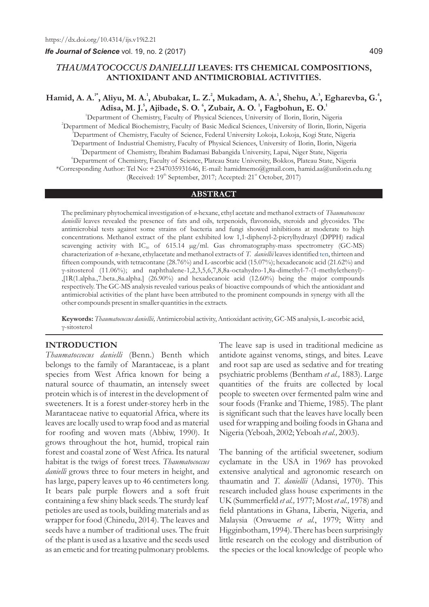*Ife Journal of Science* vol. 19, no. 2 (2017)

#### 409

## *THAUMATOCOCCUS DANIELLII* **LEAVES: ITS CHEMICAL COMPOSITIONS, ANTIOXIDANT AND ANTIMICROBIAL ACTIVITIES.**

# **1\* <sup>1</sup> <sup>2</sup> <sup>1</sup> <sup>3</sup> <sup>4</sup> Hamid, A. A. , Aliyu, M. A. , Abubakar, L. Z. , Mukadam, A. A. , Shehu, A. , Egharevba, G. , 5 6 1 1 Adisa, M. J. , Ajibade, S. O. , Zubair, A. O. , Fagbohun, E. O.**

<sup>1</sup>Department of Chemistry, Faculty of Physical Sciences, University of Ilorin, Ilorin, Nigeria Department of Medical Biochemistry, Faculty of Basic Medical Sciences, University of Ilorin, Ilorin, Nigeria Department of Chemistry, Faculty of Science, Federal University Lokoja, Lokoja, Kogi State, Nigeria Department of Industrial Chemistry, Faculty of Physical Sciences, University of Ilorin, Ilorin, Nigeria Department of Chemistry, Ibrahim Badamasi Babangida University, Lapai, Niger State, Nigeria Department of Chemistry, Faculty of Science, Plateau State University, Bokkos, Plateau State, Nigeria \*Corresponding Author: Tel No: +2347035931646, E-mail: hamidmemo@gmail.com, hamid.aa@unilorin.edu.ng (Received: 19<sup>th</sup> September, 2017; Accepted: 21<sup>st</sup> October, 2017)

#### **ABSTRACT**

The preliminary phytochemical investigation of *n-*hexane, ethyl acetate and methanol extracts of *Thaumatococcus daniellii* leaves revealed the presence of fats and oils, terpenoids, flavonoids, steroids and glycosides. The antimicrobial tests against some strains of bacteria and fungi showed inhibitions at moderate to high concentrations. Methanol extract of the plant exhibited low 1,1-diphenyl-2-picrylhydrazyl (DPPH) radical scavenging activity with  $IC_{50}$  of 615.14  $\mu g/ml$ . Gas chromatography-mass spectrometry (GC-MS) characterization of *n*-hexane, ethylacetate and methanol extracts of T. daniellii leaves identified ten, thirteen and fifteen compounds, with tetracontane (28.76%) and L-ascorbic acid (15.07%); hexadecanoic acid (21.62%) and γ-sitosterol (11.06%); and naphthalene-1,2,3,5,6,7,8,8a-octahydro-1,8a-dimethyl-7-(1-methylethenyl)- ,[1R(1.alpha.,7.beta.,8a.alpha.] (26.90%) and hexadecanoic acid (12.60%) being the major compounds respectively. The GC-MS analysis revealed various peaks of bioactive compounds of which the antioxidant and antimicrobial activities of the plant have been attributed to the prominent compounds in synergy with all the other compounds present in smaller quantities in the extracts.

**Keywords:** *Thaumatococcus daniellii,* Antimicrobial activity, Antioxidant activity, GC-MS analysis, L-ascorbic acid, γ-sitosterol

#### **INTRODUCTION**

*Thaumatoccocus danielli* (Benn.) Benth which belongs to the family of Marantaceae, is a plant species from West Africa known for being a natural source of thaumatin, an intensely sweet protein which is of interest in the development of sweeteners. It is a forest under-storey herb in the Marantaceae native to equatorial Africa, where its leaves are locally used to wrap food and as material for roofing and woven mats (Abbiw, 1990). It grows throughout the hot, humid, tropical rain forest and coastal zone of West Africa. Its natural habitat is the twigs of forest trees. *Thaumatococcus danielli* grows three to four meters in height, and has large, papery leaves up to 46 centimeters long. It bears pale purple flowers and a soft fruit containing a few shiny black seeds. The sturdy leaf petioles are used as tools, building materials and as wrapper for food (Chinedu, 2014). The leaves and seeds have a number of traditional uses. The fruit of the plant is used as a laxative and the seeds used as an emetic and for treating pulmonary problems.

The leave sap is used in traditional medicine as antidote against venoms, stings, and bites. Leave and root sap are used as sedative and for treating psychiatric problems (Bentham *et al.,* 1883). Large quantities of the fruits are collected by local people to sweeten over fermented palm wine and sour foods (Franke and Thieme, 1985). The plant is significant such that the leaves have locally been used for wrapping and boiling foods in Ghana and Nigeria (Yeboah, 2002; Yeboah *et al.,* 2003).

The banning of the artificial sweetener, sodium cyclamate in the USA in 1969 has provoked extensive analytical and agronomic research on thaumatin and *T. daniellii* (Adansi, 1970). This research included glass house experiments in the UK (Summerfield *et al.,* 1977; Most *et al.,* 1978) and field plantations in Ghana, Liberia, Nigeria, and Malaysia (Onwueme *et al.*, 1979; Witty and Higginbotham, 1994). There has been surprisingly little research on the ecology and distribution of the species or the local knowledge of people who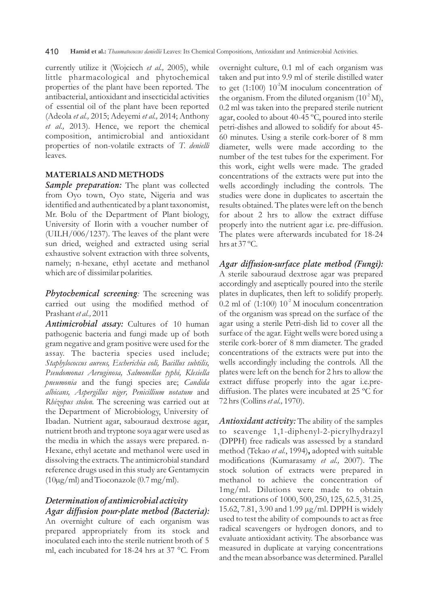currently utilize it (Wojciech *et al.,* 2005), while little pharmacological and phytochemical properties of the plant have been reported. The antibacterial, antioxidant and insecticidal activities of essential oil of the plant have been reported (Adeola *et al.,* 2015; Adeyemi *et al.,* 2014; Anthony *et al.,* 2013). Hence, we report the chemical composition, antimicrobial and antioxidant properties of non-volatile extracts of *T. denielli*  leaves.

#### **MATERIALS AND METHODS**

*Sample preparation:* The plant was collected from Oyo town, Oyo state, Nigeria and was identified and authenticated by a plant taxonomist, Mr. Bolu of the Department of Plant biology, University of Ilorin with a voucher number of (UILH/006/1237). The leaves of the plant were sun dried, weighed and extracted using serial exhaustive solvent extraction with three solvents, namely; n-hexane, ethyl acetate and methanol which are of dissimilar polarities.

*Phytochemical screening:* The screening was carried out using the modified method of Prashant *et al.,* 2011

*Antimicrobial assay:* Cultures of 10 human pathogenic bacteria and fungi made up of both gram negative and gram positive were used for the assay. The bacteria species used include; *Staphylococcus aureus, Escherichia coli, Bacillus subtilis, Pseudomonas Aeruginosa, Salmonellae typhi, Klesiella pneumonia* and the fungi species are; *Candida albicans, Aspergillus niger, Penicillium notatum* and *Rhizopus stolon.* The screening was carried out at the Department of Microbiology, University of Ibadan. Nutrient agar, sabouraud dextrose agar, nutrient broth and tryptone soya agar were used as the media in which the assays were prepared. n-Hexane, ethyl acetate and methanol were used in dissolving the extracts. The antimicrobial standard reference drugs used in this study are Gentamycin  $(10\mu g/ml)$  and Tioconazole  $(0.7 \text{ mg/ml})$ .

# *Determination of antimicrobial activity Agar diffusion pour-plate method (Bacteria):*

An overnight culture of each organism was prepared appropriately from its stock and inoculated each into the sterile nutrient broth of 5 ml, each incubated for 18-24 hrs at 37 °C. From overnight culture, 0.1 ml of each organism was taken and put into 9.9 ml of sterile distilled water to get (1:100)  $10^2$ M inoculum concentration of the organism. From the diluted organism  $(10^2 M)$ , 0.2 ml was taken into the prepared sterile nutrient agar, cooled to about 40-45 ºC, poured into sterile petri-dishes and allowed to solidify for about 45- 60 minutes. Using a sterile cork-borer of 8 mm diameter, wells were made according to the number of the test tubes for the experiment. For this work, eight wells were made. The graded concentrations of the extracts were put into the wells accordingly including the controls. The studies were done in duplicates to ascertain the results obtained. The plates were left on the bench for about 2 hrs to allow the extract diffuse properly into the nutrient agar i.e. pre-diffusion. The plates were afterwards incubated for 18-24 hrs at 37 ºC.

*Agar diffusion-surface plate method (Fungi):*  A sterile sabouraud dextrose agar was prepared accordingly and aseptically poured into the sterile plates in duplicates, then left to solidify properly. 0.2 ml of  $(1:100)$   $10<sup>2</sup>$  M inoculum concentration of the organism was spread on the surface of the agar using a sterile Petri-dish lid to cover all the surface of the agar. Eight wells were bored using a sterile cork-borer of 8 mm diameter. The graded concentrations of the extracts were put into the wells accordingly including the controls. All the plates were left on the bench for 2 hrs to allow the extract diffuse properly into the agar i.e.prediffusion. The plates were incubated at 25 ºC for 72 hrs (Collins *et al.,* 1970).

Antioxidant activity: The ability of the samples to scavenge 1,1-diphenyl-2-picrylhydrazyl (DPPH) free radicals was assessed by a standard method (Tekao *et al.*, 1994)**,** adopted with suitable modifications (Kumarasamy *et al.,* 2007). The stock solution of extracts were prepared in methanol to achieve the concentration of 1mg/ml. Dilutions were made to obtain concentrations of 1000, 500, 250, 125, 62.5, 31.25, 15.62, 7.81, 3.90 and 1.99 μg/ml. DPPH is widely used to test the ability of compounds to act as free radical scavengers or hydrogen donors, and to evaluate antioxidant activity. The absorbance was measured in duplicate at varying concentrations and the mean absorbance was determined. Parallel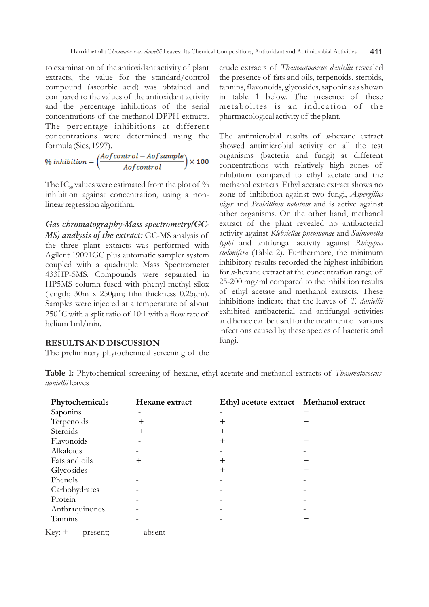to examination of the antioxidant activity of plant extracts, the value for the standard/control compound (ascorbic acid) was obtained and compared to the values of the antioxidant activity and the percentage inhibitions of the serial concentrations of the methanol DPPH extracts. The percentage inhibitions at different concentrations were determined using the

formula (Sies, 1997).<br>% inhibition =  $\left(\frac{Aofcontrol - Aofsample}{Aofcontrol}\right) \times 100$ 

The IC<sub>50</sub> values were estimated from the plot of  $\%$ inhibition against concentration, using a nonlinear regression algorithm.

*MS) analysis of the extract:* GC-MS analysis of the three plant extracts was performed with Agilent 19091GC plus automatic sampler system coupled with a quadruple Mass Spectrometer 433HP-5MS. Compounds were separated in HP5MS column fused with phenyl methyl silox (length; 30m x 250µm; film thickness 0.25µm). Samples were injected at a temperature of about 250 °C with a split ratio of 10:1 with a flow rate of helium 1ml/min. *Gas chromatography-Mass spectrometry(GC-* crude extracts of *Thaumatococcus daniellii* revealed the presence of fats and oils, terpenoids, steroids, tannins, flavonoids, glycosides, saponins as shown in table 1 below. The presence of these metabolites is an indication of the pharmacological activity of the plant.

The antimicrobial results of *n-*hexane extract showed antimicrobial activity on all the test organisms (bacteria and fungi) at different concentrations with relatively high zones of inhibition compared to ethyl acetate and the methanol extracts. Ethyl acetate extract shows no zone of inhibition against two fungi, *Aspergillus niger* and *Penicillium notatum* and is active against other organisms. On the other hand, methanol extract of the plant revealed no antibacterial activity against *Klebsiellae pneumonae* and *Salmonella typhi* and antifungal activity against *Rhizopus stolonifera* (Table 2). Furthermore, the minimum inhibitory results recorded the highest inhibition for *n*-hexane extract at the concentration range of 25-200 mg/ml compared to the inhibition results of ethyl acetate and methanol extracts. These inhibitions indicate that the leaves of *T. daniellii* exhibited antibacterial and antifungal activities and hence can be used for the treatment of various infections caused by these species of bacteria and fungi.

#### **RESULTS AND DISCUSSION**

The preliminary phytochemical screening of the

| Phytochemicals | Hexane extract | Ethyl acetate extract Methanol extract |      |
|----------------|----------------|----------------------------------------|------|
| Saponins       |                |                                        | +    |
| Terpenoids     | ┿              |                                        | ┿    |
| Steroids       | $^+$           | ┿                                      | $^+$ |
| Flavonoids     |                | ┿                                      | ┿    |
| Alkaloids      |                |                                        |      |
| Fats and oils  | $^+$           |                                        | ┿    |
| Glycosides     |                | ┿                                      | +    |
| Phenols        |                |                                        |      |
| Carbohydrates  |                |                                        |      |
| Protein        |                |                                        |      |
| Anthraquinones |                |                                        |      |
| Tannins        |                |                                        |      |

**Table 1:** Phytochemical screening of hexane, ethyl acetate and methanol extracts of *Thaumatococcus daniellii* leaves

 $Key: + = present; - = absent$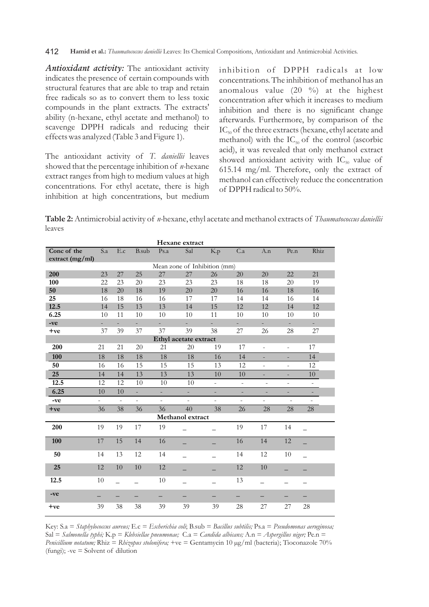#### 412 **Hamid et al.:** *Thaumatococcus daniellii* Leaves: Its Chemical Compositions, Antioxidant and Antimicrobial Activities.

*Antioxidant activity:* The antioxidant activity indicates the presence of certain compounds with structural features that are able to trap and retain free radicals so as to convert them to less toxic compounds in the plant extracts. The extracts' ability (n-hexane, ethyl acetate and methanol) to scavenge DPPH radicals and reducing their effects was analyzed (Table 3 and Figure 1).

The antioxidant activity of *T. daniellii* leaves showed that the percentage inhibition of *n-*hexane extract ranges from high to medium values at high concentrations. For ethyl acetate, there is high inhibition at high concentrations, but medium

inhibition of DPPH radicals at low concentrations. The inhibition of methanol has an anomalous value (20 %) at the highest concentration after which it increases to medium inhibition and there is no significant change afterwards. Furthermore, by comparison of the  $IC_{50}$  of the three extracts (hexane, ethyl acetate and methanol) with the  $IC_{50}$  of the control (ascorbic acid), it was revealed that only methanol extract showed antioxidant activity with  $IC_{50}$  value of 615.14 mg/ml. Therefore, only the extract of methanol can effectively reduce the concentration of DPPH radical to 50%.

**Table 2:** Antimicrobial activity of *n-*hexane, ethyl acetate and methanol extracts of *Thaumatococcus daniellii*  leaves

| Hexane extract               |                          |                          |               |          |                  |          |                          |                          |                          |                          |
|------------------------------|--------------------------|--------------------------|---------------|----------|------------------|----------|--------------------------|--------------------------|--------------------------|--------------------------|
| Conc of the                  | S.a                      | E.c                      | B.sub         | Ps.a     | Sal              | K.p      | C.a                      | A.n                      | Pe.n                     | Rhiz                     |
| extract (mg/ml)              |                          |                          |               |          |                  |          |                          |                          |                          |                          |
| Mean zone of Inhibition (mm) |                          |                          |               |          |                  |          |                          |                          |                          |                          |
| 200                          | 23                       | 27                       | 25            | 27       | 27               | 26       | 20                       | 20                       | 22                       | 21                       |
| 100                          | 22                       | 23                       | 20            | 23       | 23               | 23       | 18                       | 18                       | 20                       | 19                       |
| 50                           | 18                       | 20                       | 18            | 19       | 20               | 20       | 16                       | 16                       | 18                       | 16                       |
| 25                           | 16                       | 18                       | 16            | 16       | 17               | 17       | 14                       | 14                       | 16                       | 14                       |
| 12.5                         | 14                       | 15                       | 13            | 13       | 14               | 15       | 12                       | 12                       | 14                       | 12                       |
| 6.25                         | 10                       | 11                       | 10            | 10       | 10               | 11       | 10                       | 10                       | 10                       | 10                       |
| -ve                          |                          | u.                       | a.            |          |                  | L.       | ÷.                       |                          |                          |                          |
| $+ve$                        | 37                       | 39                       | 37            | 37       | 39               | 38       | 27                       | 26                       | 28                       | 27                       |
| Ethyl acetate extract        |                          |                          |               |          |                  |          |                          |                          |                          |                          |
| <b>200</b>                   | 21                       | 21                       | 20            | 21       | 20               | 19       | 17                       | $\blacksquare$           | $\overline{\phantom{a}}$ | 17                       |
| 100                          | 18                       | 18                       | 18            | 18       | 18               | 16       | 14                       | ÷,                       | ÷,                       | 14                       |
| 50                           | 16                       | 16                       | 15            | 15       | 15               | 13       | 12                       | $\overline{\phantom{0}}$ | $\overline{\phantom{a}}$ | 12                       |
| 25                           | 14                       | 14                       | 13            | 13       | 13               | 10       | 10                       |                          |                          | 10                       |
| 12.5                         | 12                       | 12                       | 10            | 10       | 10               | ÷,       | $\bar{\phantom{a}}$      | ÷,                       | $\blacksquare$           | $\overline{\phantom{a}}$ |
| 6.25                         | 10                       | 10                       | $\omega$      | ÷.       | $\equiv$         | -        | $\overline{\phantom{a}}$ | ÷                        | $\overline{\phantom{a}}$ | $\overline{\phantom{a}}$ |
| -ve                          | $\overline{\phantom{0}}$ | $\bar{a}$                | $\frac{1}{2}$ | $\equiv$ | $\omega$         | $\equiv$ | $\overline{\phantom{a}}$ | $\equiv$                 | $\bar{a}$                | $\overline{\phantom{a}}$ |
| $+ve$                        | 36                       | 38                       | 36            | 36       | 40               | 38       | 26                       | 28                       | 28                       | 28                       |
|                              |                          |                          |               |          | Methanol extract |          |                          |                          |                          |                          |
| 200                          | 19                       | 19                       | 17            | 19       |                  |          | 19                       | 17                       | 14                       |                          |
| 100                          | 17                       | 15                       | 14            | 16       |                  |          | 16                       | 14                       | $\overline{12}$          |                          |
| 50                           | 14                       | 13                       | 12            | 14       |                  |          | 14                       | 12                       | 10                       | $\equiv$                 |
| 25                           | 12                       | 10                       | 10            | 12       |                  |          | 12                       | 10                       |                          |                          |
| 12.5                         | 10                       | $\overline{\phantom{0}}$ |               | 10       |                  |          | 13                       | $\overline{\phantom{0}}$ |                          |                          |
| -ve                          |                          |                          |               | —        |                  |          |                          |                          |                          |                          |
| $+ve$                        | 39                       | 38                       | 38            | 39       | 39               | 39       | 28                       | 27                       | 27                       | 28                       |

Key: S.a = *Staphylococcus aureus;* E.c = *Escherichia coli*; B.sub = *Bacillus subtilis;* Ps.a = *Pseudomonas aeruginosa;*  Sal = *Salmonella typhi;* K.p = *Klebsiellae pneumonae;* C.a = *Candida albicans;* A.n = *Aspergillus niger;* Pe.n = *Penicillium notatum;* Rhiz = *Rhizopus stolonifera;* +ve = Gentamycin 10 µg/ml (bacteria); Tioconazole 70% (fungi); -ve = Solvent of dilution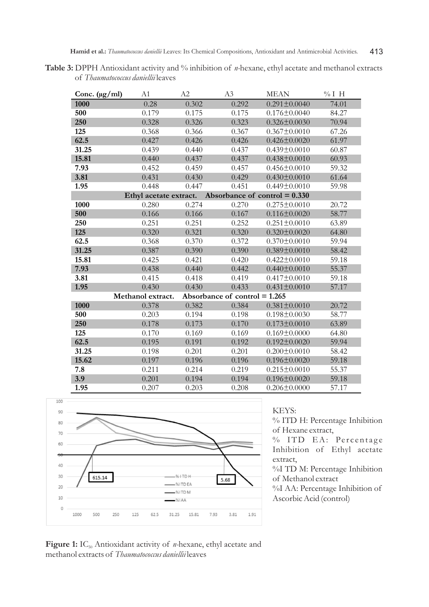Table 3: DPPH Antioxidant activity and % inhibition of *n*-hexane, ethyl acetate and methanol extracts of *Thaumatococcus daniellii* leaves

| Conc. $(\mu g/ml)$ | A1                     | A2    | A3                              | <b>MEAN</b>        | $%I$ H |
|--------------------|------------------------|-------|---------------------------------|--------------------|--------|
| 1000               | 0.28                   | 0.302 | 0.292                           | $0.291 \pm 0.0040$ | 74.01  |
| 500                | 0.179                  | 0.175 | 0.175                           | $0.176 \pm 0.0040$ | 84.27  |
| 250                | 0.328                  | 0.326 | 0.323                           | $0.326 \pm 0.0030$ | 70.94  |
| 125                | 0.368                  | 0.366 | 0.367                           | $0.367 \pm 0.0010$ | 67.26  |
| 62.5               | 0.427                  | 0.426 | 0.426                           | $0.426 \pm 0.0020$ | 61.97  |
| 31.25              | 0.439                  | 0.440 | 0.437                           | $0.439 \pm 0.0010$ | 60.87  |
| 15.81              | 0.440                  | 0.437 | 0.437                           | $0.438 \pm 0.0010$ | 60.93  |
| 7.93               | 0.452                  | 0.459 | 0.457                           | $0.456 \pm 0.0010$ | 59.32  |
| 3.81               | 0.431                  | 0.430 | 0.429                           | $0.430 \pm 0.0010$ | 61.64  |
| 1.95               | 0.448                  | 0.447 | 0.451                           | $0.449 \pm 0.0010$ | 59.98  |
|                    | Ethyl acetate extract. |       | Absorbance of control $= 0.330$ |                    |        |
| 1000               | 0.280                  | 0.274 | 0.270                           | $0.275 \pm 0.0010$ | 20.72  |
| 500                | 0.166                  | 0.166 | 0.167                           | $0.116 \pm 0.0020$ | 58.77  |
| 250                | 0.251                  | 0.251 | 0.252                           | $0.251 \pm 0.0010$ | 63.89  |
| 125                | 0.320                  | 0.321 | 0.320                           | $0.320 \pm 0.0020$ | 64.80  |
| 62.5               | 0.368                  | 0.370 | 0.372                           | $0.370 \pm 0.0010$ | 59.94  |
| 31.25              | 0.387                  | 0.390 | 0.390                           | $0.389 \pm 0.0010$ | 58.42  |
| 15.81              | 0.425                  | 0.421 | 0.420                           | $0.422 \pm 0.0010$ | 59.18  |
| 7.93               | 0.438                  | 0.440 | 0.442                           | $0.440 \pm 0.0010$ | 55.37  |
| 3.81               | 0.415                  | 0.418 | 0.419                           | $0.417 \pm 0.0010$ | 59.18  |
| 1.95               | 0.430                  | 0.430 | 0.433                           | $0.431 \pm 0.0010$ | 57.17  |
|                    | Methanol extract.      |       | Absorbance of control $= 1.265$ |                    |        |
| 1000               | 0.378                  | 0.382 | 0.384                           | $0.381 \pm 0.0010$ | 20.72  |
| 500                | 0.203                  | 0.194 | 0.198                           | $0.198 \pm 0.0030$ | 58.77  |
| 250                | 0.178                  | 0.173 | 0.170                           | $0.173 \pm 0.0010$ | 63.89  |
| 125                | 0.170                  | 0.169 | 0.169                           | $0.169 \pm 0.0000$ | 64.80  |
| 62.5               | 0.195                  | 0.191 | 0.192                           | $0.192 \pm 0.0020$ | 59.94  |
| 31.25              | 0.198                  | 0.201 | 0.201                           | $0.200 \pm 0.0010$ | 58.42  |
| 15.62              | 0.197                  | 0.196 | 0.196                           | $0.196 \pm 0.0020$ | 59.18  |
| 7.8                | 0.211                  | 0.214 | 0.219                           | $0.215 \pm 0.0010$ | 55.37  |
| 3.9                | 0.201                  | 0.194 | 0.194                           | $0.196 \pm 0.0020$ | 59.18  |
| 1.95               | 0.207                  | 0.203 | 0.208                           | $0.206 \pm 0.0000$ | 57.17  |



# KEYS:

% ITD H: Percentage Inhibition of Hexane extract,

% ITD EA: Percentage Inhibition of Ethyl acetate extract,

%I TD M: Percentage Inhibition of Methanol extract

%I AA: Percentage Inhibition of Ascorbic Acid (control)

Figure 1: IC<sub>50</sub> Antioxidant activity of *n*-hexane, ethyl acetate and methanol extracts of *Thaumatococcus daniellii* leaves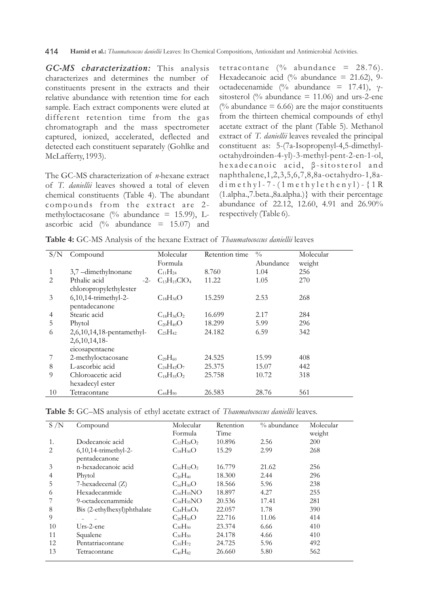*GC-MS characterization:* This analysis characterizes and determines the number of constituents present in the extracts and their relative abundance with retention time for each sample. Each extract components were eluted at different retention time from the gas chromatograph and the mass spectrometer captured, ionized, accelerated, deflected and detected each constituent separately (Gohlke and McLafferty, 1993).

The GC-MS characterization of *n-*hexane extract of *T. daniellii* leaves showed a total of eleven chemical constituents (Table 4). The abundant compounds from the extract are 2methyloctacosane (% abundance = 15.99), Lascorbic acid (% abundance  $= 15.07$ ) and tetracontane (% abundance = 28.76). Hexadecanoic acid (% abundance = 21.62), 9octadecenamide (% abundance = 17.41), γsitosterol (% abundance = 11.06) and urs-2-ene (% abundance  $= 6.66$ ) are the major constituents from the thirteen chemical compounds of ethyl acetate extract of the plant (Table 5). Methanol extract of *T. daniellii* leaves revealed the principal constituent as: 5-(7a-Isopropenyl-4,5-dimethyloctahydroinden-4-yl)-3-methyl-pent-2-en-1-ol, h e x a d e c a n o i c a c i d, β - sit o st e r o l a n d naphthalene,1,2,3,5,6,7,8,8a-octahydro-1,8ad i m e t h y l - 7 - (1 m e t h y l e t h e n y l ) -  $\{1 \text{ R}$ (1.alpha.,7.beta.,8a.alpha.)} with their percentage abundance of 22.12, 12.60, 4.91 and 26.90% respectively (Table 6).

**Table 4:** GC-MS Analysis of the hexane Extract of *Thaumatococcus daniellii* leaves

| S/N                           | Compound                  | Molecular           | Retention time | $\frac{0}{0}$ | Molecular |
|-------------------------------|---------------------------|---------------------|----------------|---------------|-----------|
|                               |                           | Formula             |                | Abundance     | weight    |
| 1                             | 3,7 -dimethylnonane       | $C_{11}H_{24}$      | 8.760          | 1.04          | 256       |
| $\mathfrak{D}_{\mathfrak{p}}$ | Pthalic acid<br>$-2-$     | $C_{13}H_{15}ClO_4$ | 11.22          | 1.05          | 270       |
|                               | chloropropylethylester    |                     |                |               |           |
| 3                             | $6,10,14$ -trimethyl-2-   | $C_{18}H_{36}O$     | 15.259         | 2.53          | 268       |
|                               | pentadecanone             |                     |                |               |           |
| 4                             | Stearic acid              | $C_{18}H_{36}O_2$   | 16.699         | 2.17          | 284       |
| 5                             | Phytol                    | $C_{20}H_{40}O$     | 18.299         | 5.99          | 296       |
| 6                             | 2,6,10,14,18-pentamethyl- | $C_{25}H_{42}$      | 24.182         | 6.59          | 342       |
|                               | $2,6,10,14,18$ -          |                     |                |               |           |
|                               | eicosapentaene            |                     |                |               |           |
|                               | 2-methyloctacosane        | $C_{29}H_{60}$      | 24.525         | 15.99         | 408       |
| 8                             | L-ascorbic acid           | $C_{24}H_{42}O_7$   | 25.375         | 15.07         | 442       |
| 9                             | Chloroacetic acid         | $C_{18}H_{35}O_2$   | 25.758         | 10.72         | 318       |
|                               | hexadecyl ester           |                     |                |               |           |
| 10                            | Tetracontane              | $C_{44}H_{90}$      | 26.583         | 28.76         | 561       |

| S/N | Compound                    | Molecular         | Retention | $\%$ abundance | Molecular  |
|-----|-----------------------------|-------------------|-----------|----------------|------------|
|     |                             | Formula           | Time      |                | weight     |
| 1.  | Dodecanoic acid             | $C_{12}H_{24}O_2$ | 10.896    | 2.56           | <b>200</b> |
| 2   | $6,10,14$ -trimethyl-2-     | $C_{18}H_{36}O$   | 15.29     | 2.99           | 268        |
|     | pentadecanone               |                   |           |                |            |
| 3   | n-hexadecanoic acid         | $C_{16}H_{32}O_2$ | 16.779    | 21.62          | 256        |
| 4   | Phytol                      | $C_{20}H_{40}$    | 18.300    | 2.44           | 296        |
| 5   | 7-hexadecenal (Z)           | $C_{16}H_{30}O$   | 18.566    | 5.96           | 238        |
| 6   | Hexadecanmide               | $C_{16}H_{33}NO$  | 18.897    | 4.27           | 255        |
|     | 9-octadecenammide           | $C_{18}H_{35}NO$  | 20.536    | 17.41          | 281        |
| 8   | Bis (2-ethylhexyl)phthalate | $C_{24}H_{38}O_4$ | 22.057    | 1.78           | 390        |
| 9   |                             | $C_{29}H_{50}O$   | 22.716    | 11.06          | 414        |
| 10  | $Urs-2$ -ene                | $C_{30}H_{50}$    | 23.374    | 6.66           | 410        |
| 11  | Squalene                    | $C_{30}H_{50}$    | 24.178    | 4.66           | 410        |
| 12  | Pentatriacontane            | $C_{35}H_{72}$    | 24.725    | 5.96           | 492        |
| 13  | Tetracontane                | $C_{40}H_{82}$    | 26.660    | 5.80           | 562        |
|     |                             |                   |           |                |            |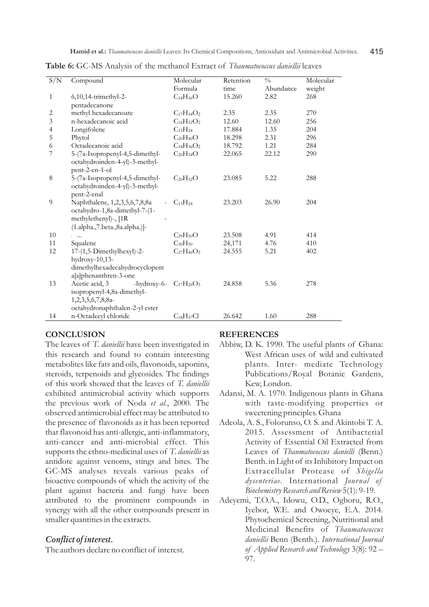| S/N                      | Compound                            | Molecular         | Retention | $\frac{0}{0}$ | Molecular |
|--------------------------|-------------------------------------|-------------------|-----------|---------------|-----------|
|                          |                                     | Formula           | time      | Abundance     | weight    |
| 1                        | 6,10,14-trimethyl-2-                | $C_{18}H_{36}O$   | 15.260    | 2.82          | 268       |
|                          | pentadecanone                       |                   |           |               |           |
| 2                        | methyl hexadecanoate                | $C_{17}H_{34}O_2$ | 2.35      | 2.35          | 270       |
| $\mathfrak{Z}$           | n-hexadecanoic acid                 | $C_{16}H_{32}O_2$ | 12.60     | 12.60         | 256       |
| $\overline{\mathcal{A}}$ | Longifolene                         | $C_{15}H_{24}$    | 17.884    | 1.35          | 204       |
| 5                        | Phytol                              | $C_{20}H_{40}O$   | 18.298    | 2.31          | 296       |
| 6                        | Octadecanoic acid                   | $C_{18}H_{36}O_2$ | 18.792    | 1.21          | 284       |
| 7                        | 5-(7a-Isopropenyl-4,5-dimethyl-     | $C_{20}H_{34}O$   | 22.065    | 22.12         | 290       |
|                          | octahydroinden-4-yl)-3-methyl-      |                   |           |               |           |
|                          | pent-2-en-1-ol                      |                   |           |               |           |
| 8                        | 5-(7a-Isopropenyl-4,5-dimethyl-     | $C_{20}H_{32}O$   | 23.085    | 5.22          | 288       |
|                          | octahydroinden-4-yl)-3-methyl-      |                   |           |               |           |
|                          | pent-2-enal                         |                   |           |               |           |
| 9                        | Naphthalene, 1,2,3,5,6,7,8,8a       | $C_{15}H_{24}$    | 23.203    | 26.90         | 204       |
|                          | octahydro-1,8a-dimethyl-7-(1-       |                   |           |               |           |
|                          | methylethenyl)-, [1R                |                   |           |               |           |
|                          | $(1.aIpha., 7.beta., 8a.aIpha.)$ ]- |                   |           |               |           |
| 10                       |                                     | $C_{29}H_{50}O$   | 23.508    | 4.91          | 414       |
| 11                       | Squalene                            | $C_{30}H_{50}$    | 24,171    | 4.76          | 410       |
| 12                       | 17-(1,5-Dimethylhexyl)-2-           | $C_{27}H_{46}O_2$ | 24.555    | 5.21          | 402       |
|                          | hydroxy-10,13-                      |                   |           |               |           |
|                          | dimethylhexadecahydrocyclopent      |                   |           |               |           |
|                          | a[a]phenanthren-3-one               |                   |           |               |           |
| 13                       | Acetic acid, 3<br>-hydroxy-6-       | $C_{17}H_{26}O_3$ | 24.858    | 5.36          | 278       |
|                          | isopropenyl-4,8a-dimethyl-          |                   |           |               |           |
|                          | 1,2,3,5,6,7,8,8a-                   |                   |           |               |           |
|                          | octahydronaphthalen-2-yl ester      |                   |           |               |           |
| 14                       | n-Octadecyl chloride                | $C_{18}H_{37}Cl$  | 26.642    | 1.60          | 288       |

**Table 6:** GC-MS Analysis of the methanol Extract of *Thaumatococcus daniellii* leaves

#### **CONCLUSION**

The leaves of *T. daniellii* have been investigated in this research and found to contain interesting metabolites like fats and oils, flavonoids, saponins, steroids, terpenoids and glycosides. The findings of this work showed that the leaves of *T. daniellii*  exhibited antimicrobial activity which supports the previous work of Noda *et al*., 2000. The observed antimicrobial effect may be attributed to the presence of flavonoids as it has been reported that flavonoid has anti-allergic, anti-inflammatory, anti-cancer and anti-microbial effect. This supports the ethno-medicinal uses of *T. daniellii* as antidote against venoms, stings and bites. The GC-MS analyses reveals various peaks of bioactive compounds of which the activity of the plant against bacteria and fungi have been attributed to the prominent compounds in synergy with all the other compounds present in smaller quantities in the extracts.

## *Conflict of interest.*

The authors declare no conflict of interest.

## **REFERENCES**

- Abbiw, D. K. 1990. The useful plants of Ghana: West African uses of wild and cultivated plants. Inter- mediate Technology Publications/Royal Botanic Gardens, Kew, London.
- Adansi, M. A. 1970. Indigenous plants in Ghana with taste-modifying properties or sweetening principles. Ghana
- Adeola, A. S., Folorunso, O. S. and Akintobi T. A. 2015. Assessment of Antibacterial Activity of Essential Oil Extracted from Leaves of *Thaumatococcus danielli* (Benn.) Benth. in Light of its Inhibitory Impact on Extracellular Protease of *Shigella dysenteriae*. International *Journal of Biochemistry Research and Review* 5(1): 9-19.
- Adeyemi, T.O.A., Idowu, O.D., Ogboru, R.O., Iyebor, W.E. and Owoeye, E.A. 2014. Phytochemical Screening, Nutritional and Medicinal Benefits of *Thaumatococcus daniellii* Benn (Benth.). *International Journal of Applied Research and Technology* 3(8): 92 – 97.